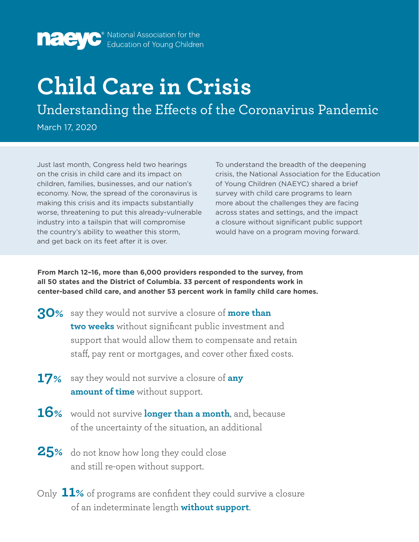

**nade yestimal Association for the Education of Young Children** 

## **Child Care in Crisis**

Understanding the Effects of the Coronavirus Pandemic

March 17, 2020

Just last month, Congress held two hearings on the crisis in child care and its impact on children, families, businesses, and our nation's economy. Now, the spread of the coronavirus is making this crisis and its impacts substantially worse, threatening to put this already-vulnerable industry into a tailspin that will compromise the country's ability to weather this storm, and get back on its feet after it is over.

To understand the breadth of the deepening crisis, the National Association for the Education of Young Children (NAEYC) shared a brief survey with child care programs to learn more about the challenges they are facing across states and settings, and the impact a closure without significant public support would have on a program moving forward.

**From March 12–16, more than 6,000 providers responded to the survey, from all 50 states and the District of Columbia. 33 percent of respondents work in center-based child care, and another 53 percent work in family child care homes.** 

- say they would not survive a closure of **more than 30% two weeks** without significant public investment and support that would allow them to compensate and retain staff, pay rent or mortgages, and cover other fixed costs.
- **17%** say they would not survive a closure of any **amount of time** without support.
- **16%** would not survive **longer than a month**, and, because of the uncertainty of the situation, an additional
- **25%** do not know how long they could close and still re-open without support.
- Only **11%** of programs are confident they could survive a closure of an indeterminate length **without support**.